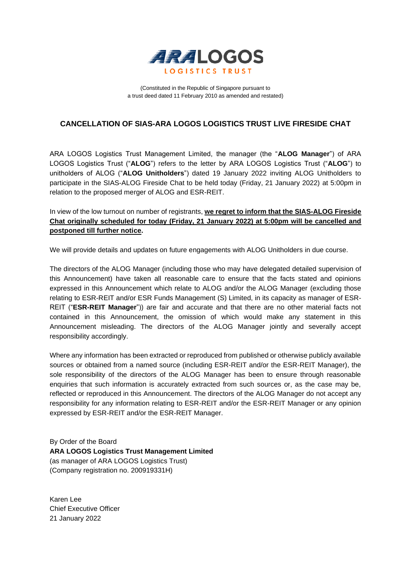

(Constituted in the Republic of Singapore pursuant to a trust deed dated 11 February 2010 as amended and restated)

# **CANCELLATION OF SIAS-ARA LOGOS LOGISTICS TRUST LIVE FIRESIDE CHAT**

ARA LOGOS Logistics Trust Management Limited, the manager (the "**ALOG Manager**") of ARA LOGOS Logistics Trust ("**ALOG**") refers to the letter by ARA LOGOS Logistics Trust ("**ALOG**") to unitholders of ALOG ("**ALOG Unitholders**") dated 19 January 2022 inviting ALOG Unitholders to participate in the SIAS-ALOG Fireside Chat to be held today (Friday, 21 January 2022) at 5:00pm in relation to the proposed merger of ALOG and ESR-REIT.

In view of the low turnout on number of registrants, **we regret to inform that the SIAS-ALOG Fireside Chat originally scheduled for today (Friday, 21 January 2022) at 5:00pm will be cancelled and postponed till further notice.**

We will provide details and updates on future engagements with ALOG Unitholders in due course.

The directors of the ALOG Manager (including those who may have delegated detailed supervision of this Announcement) have taken all reasonable care to ensure that the facts stated and opinions expressed in this Announcement which relate to ALOG and/or the ALOG Manager (excluding those relating to ESR-REIT and/or ESR Funds Management (S) Limited, in its capacity as manager of ESR-REIT ("**ESR-REIT Manager**")) are fair and accurate and that there are no other material facts not contained in this Announcement, the omission of which would make any statement in this Announcement misleading. The directors of the ALOG Manager jointly and severally accept responsibility accordingly.

Where any information has been extracted or reproduced from published or otherwise publicly available sources or obtained from a named source (including ESR-REIT and/or the ESR-REIT Manager), the sole responsibility of the directors of the ALOG Manager has been to ensure through reasonable enquiries that such information is accurately extracted from such sources or, as the case may be, reflected or reproduced in this Announcement. The directors of the ALOG Manager do not accept any responsibility for any information relating to ESR-REIT and/or the ESR-REIT Manager or any opinion expressed by ESR-REIT and/or the ESR-REIT Manager.

By Order of the Board **ARA LOGOS Logistics Trust Management Limited**  (as manager of ARA LOGOS Logistics Trust) (Company registration no. 200919331H)

Karen Lee Chief Executive Officer 21 January 2022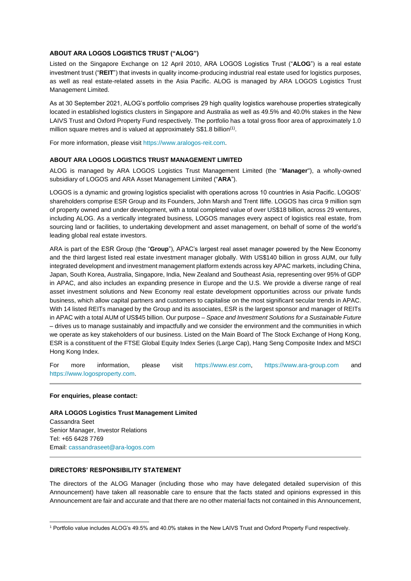## **ABOUT ARA LOGOS LOGISTICS TRUST ("ALOG")**

Listed on the Singapore Exchange on 12 April 2010, ARA LOGOS Logistics Trust ("**ALOG**") is a real estate investment trust ("**REIT**") that invests in quality income-producing industrial real estate used for logistics purposes, as well as real estate-related assets in the Asia Pacific. ALOG is managed by ARA LOGOS Logistics Trust Management Limited.

As at 30 September 2021, ALOG's portfolio comprises 29 high quality logistics warehouse properties strategically located in established logistics clusters in Singapore and Australia as well as 49.5% and 40.0% stakes in the New LAIVS Trust and Oxford Property Fund respectively. The portfolio has a total gross floor area of approximately 1.0 million square metres and is valued at approximately S\$1.8 billion<sup>(1)</sup>.

For more information, please visit https://www.aralogos-reit.com.

## **ABOUT ARA LOGOS LOGISTICS TRUST MANAGEMENT LIMITED**

ALOG is managed by ARA LOGOS Logistics Trust Management Limited (the "**Manager**"), a wholly-owned subsidiary of LOGOS and ARA Asset Management Limited ("**ARA**").

LOGOS is a dynamic and growing logistics specialist with operations across 10 countries in Asia Pacific. LOGOS' shareholders comprise ESR Group and its Founders, John Marsh and Trent Iliffe. LOGOS has circa 9 million sqm of property owned and under development, with a total completed value of over US\$18 billion, across 29 ventures, including ALOG. As a vertically integrated business, LOGOS manages every aspect of logistics real estate, from sourcing land or facilities, to undertaking development and asset management, on behalf of some of the world's leading global real estate investors.

ARA is part of the ESR Group (the "**Group**"), APAC's largest real asset manager powered by the New Economy and the third largest listed real estate investment manager globally. With US\$140 billion in gross AUM, our fully integrated development and investment management platform extends across key APAC markets, including China, Japan, South Korea, Australia, Singapore, India, New Zealand and Southeast Asia, representing over 95% of GDP in APAC, and also includes an expanding presence in Europe and the U.S. We provide a diverse range of real asset investment solutions and New Economy real estate development opportunities across our private funds business, which allow capital partners and customers to capitalise on the most significant secular trends in APAC. With 14 listed REITs managed by the Group and its associates, ESR is the largest sponsor and manager of REITs in APAC with a total AUM of US\$45 billion. Our purpose – *Space and Investment Solutions for a Sustainable Future* – drives us to manage sustainably and impactfully and we consider the environment and the communities in which we operate as key stakeholders of our business. Listed on the Main Board of The Stock Exchange of Hong Kong, ESR is a constituent of the FTSE Global Equity Index Series (Large Cap), Hang Seng Composite Index and MSCI Hong Kong Index.

For more information, please visit [https://www.esr.com,](https://www.esr.com/) [https://www.ara-group.com](https://www.ara-group.com/) and [https://www.logosproperty.com.](https://www.logosproperty.com/)

#### **For enquiries, please contact:**

**ARA LOGOS Logistics Trust Management Limited** Cassandra Seet Senior Manager, Investor Relations Tel: +65 6428 7769 Email[: cassandraseet@ara-logos.com](mailto:cassandraseet@ara-logos.com)

## **DIRECTORS' RESPONSIBILITY STATEMENT**

The directors of the ALOG Manager (including those who may have delegated detailed supervision of this Announcement) have taken all reasonable care to ensure that the facts stated and opinions expressed in this Announcement are fair and accurate and that there are no other material facts not contained in this Announcement,

<sup>1</sup> Portfolio value includes ALOG's 49.5% and 40.0% stakes in the New LAIVS Trust and Oxford Property Fund respectively.